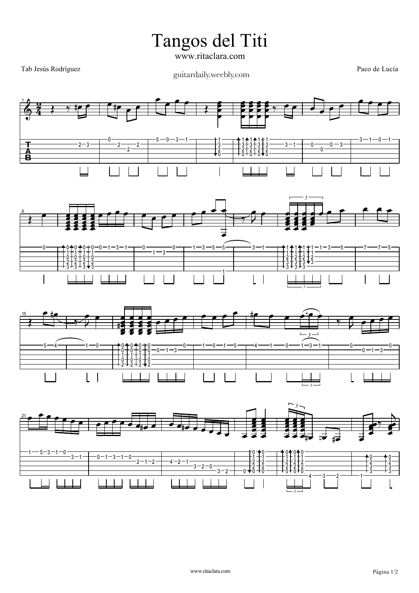Tangos del Titi

www.ritaclara.com

Tab Jesús Rodríguez

guitardaily.weebly.com

Paco de Lucía